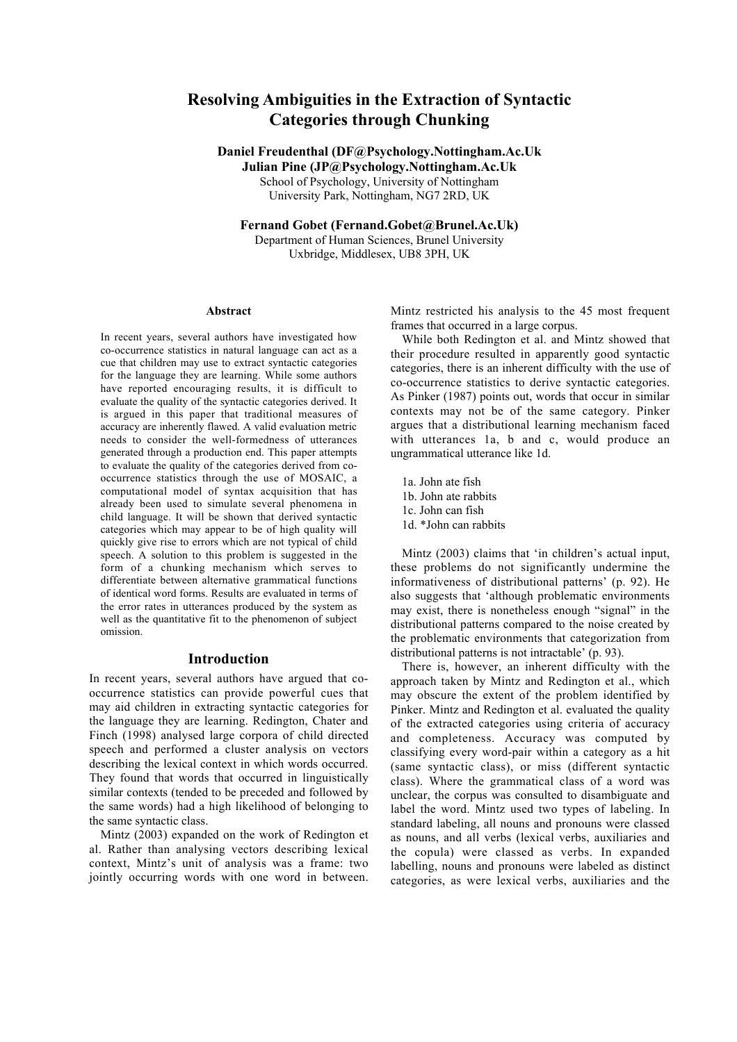# Resolving Ambiguities in the Extraction of Syntactic Categories through Chunking

Daniel Freudenthal (DF@Psychology.Nottingham.Ac.Uk

Julian Pine (JP@Psychology.Nottingham.Ac.Uk School of Psychology, University of Nottingham University Park, Nottingham, NG7 2RD, UK

Fernand Gobet (Fernand.Gobet@Brunel.Ac.Uk) Department of Human Sciences, Brunel University Uxbridge, Middlesex, UB8 3PH, UK

#### Abstract

In recent years, several authors have investigated how co-occurrence statistics in natural language can act as a cue that children may use to extract syntactic categories for the language they are learning. While some authors have reported encouraging results, it is difficult to evaluate the quality of the syntactic categories derived. It is argued in this paper that traditional measures of accuracy are inherently flawed. A valid evaluation metric needs to consider the well-formedness of utterances generated through a production end. This paper attempts to evaluate the quality of the categories derived from cooccurrence statistics through the use of MOSAIC, a computational model of syntax acquisition that has already been used to simulate several phenomena in child language. It will be shown that derived syntactic categories which may appear to be of high quality will quickly give rise to errors which are not typical of child speech. A solution to this problem is suggested in the form of a chunking mechanism which serves to differentiate between alternative grammatical functions of identical word forms. Results are evaluated in terms of the error rates in utterances produced by the system as well as the quantitative fit to the phenomenon of subject omission.

# Introduction

In recent years, several authors have argued that cooccurrence statistics can provide powerful cues that may aid children in extracting syntactic categories for the language they are learning. Redington, Chater and Finch (1998) analysed large corpora of child directed speech and performed a cluster analysis on vectors describing the lexical context in which words occurred. They found that words that occurred in linguistically similar contexts (tended to be preceded and followed by the same words) had a high likelihood of belonging to the same syntactic class.

Mintz (2003) expanded on the work of Redington et al. Rather than analysing vectors describing lexical context, Mintz's unit of analysis was a frame: two jointly occurring words with one word in between. Mintz restricted his analysis to the 45 most frequent frames that occurred in a large corpus.

While both Redington et al. and Mintz showed that their procedure resulted in apparently good syntactic categories, there is an inherent difficulty with the use of co-occurrence statistics to derive syntactic categories. As Pinker (1987) points out, words that occur in similar contexts may not be of the same category. Pinker argues that a distributional learning mechanism faced with utterances 1a, b and c, would produce an ungrammatical utterance like 1d.

- 1a. John ate fish
- 1b. John ate rabbits
- 1c. John can fish
- 1d. \*John can rabbits

Mintz (2003) claims that 'in children's actual input, these problems do not significantly undermine the informativeness of distributional patterns' (p. 92). He also suggests that 'although problematic environments may exist, there is nonetheless enough "signal" in the distributional patterns compared to the noise created by the problematic environments that categorization from distributional patterns is not intractable' (p. 93).

There is, however, an inherent difficulty with the approach taken by Mintz and Redington et al., which may obscure the extent of the problem identified by Pinker. Mintz and Redington et al. evaluated the quality of the extracted categories using criteria of accuracy and completeness. Accuracy was computed by classifying every word-pair within a category as a hit (same syntactic class), or miss (different syntactic class). Where the grammatical class of a word was unclear, the corpus was consulted to disambiguate and label the word. Mintz used two types of labeling. In standard labeling, all nouns and pronouns were classed as nouns, and all verbs (lexical verbs, auxiliaries and the copula) were classed as verbs. In expanded labelling, nouns and pronouns were labeled as distinct categories, as were lexical verbs, auxiliaries and the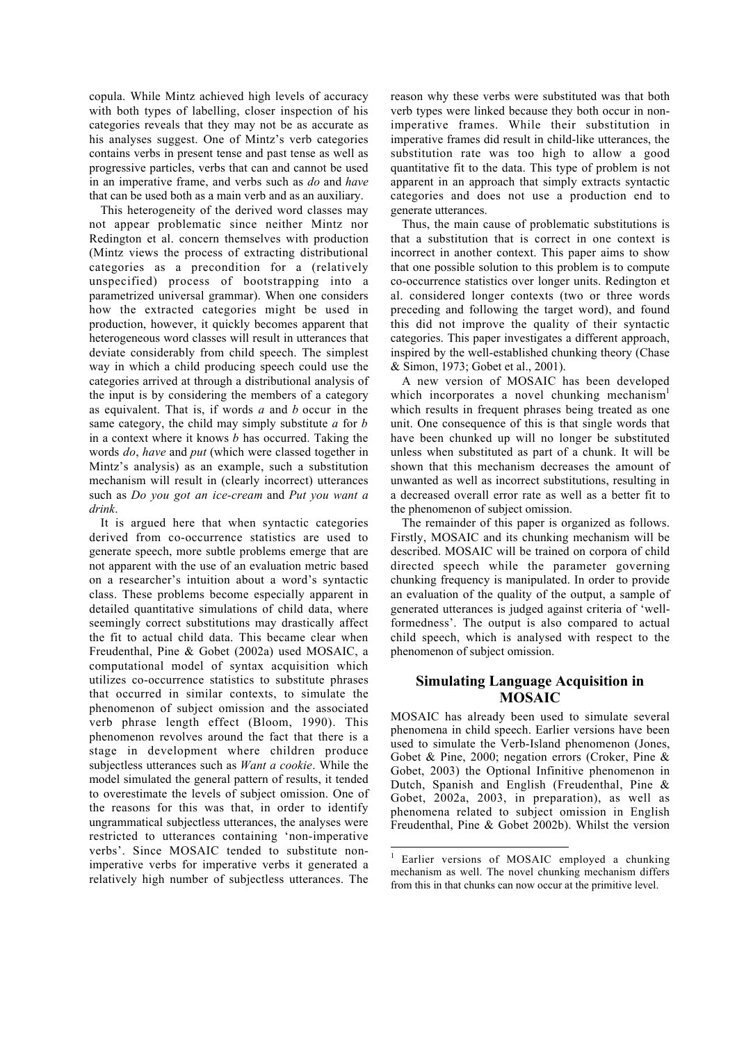copula. While Mintz achieved high levels of accuracy with both types of labelling, closer inspection of his categories reveals that they may not be as accurate as his analyses suggest. One of Mintz's verb categories contains verbs in present tense and past tense as well as progressive particles, verbs that can and cannot be used in an imperative frame, and verbs such as *do* and *have* that can be used both as a main verb and as an auxiliary.

This heterogeneity of the derived word classes may not appear problematic since neither Mintz nor Redington et al. concern themselves with production (Mintz views the process of extracting distributional categories as a precondition for a (relatively unspecified) process of bootstrapping into a parametrized universal grammar). When one considers how the extracted categories might be used in production, however, it quickly becomes apparent that heterogeneous word classes will result in utterances that deviate considerably from child speech. The simplest way in which a child producing speech could use the categories arrived at through a distributional analysis of the input is by considering the members of a category as equivalent. That is, if words *a* and *b* occur in the same category, the child may simply substitute *a* for *b* in a context where it knows *b* has occurred. Taking the words *do*, *have* and *put* (which were classed together in Mintz's analysis) as an example, such a substitution mechanism will result in (clearly incorrect) utterances such as *Do you got an ice-cream* and *Put you want a drink*.

It is argued here that when syntactic categories derived from co-occurrence statistics are used to generate speech, more subtle problems emerge that are not apparent with the use of an evaluation metric based on a researcher's intuition about a word's syntactic class. These problems become especially apparent in detailed quantitative simulations of child data, where seemingly correct substitutions may drastically affect the fit to actual child data. This became clear when Freudenthal, Pine & Gobet (2002a) used MOSAIC, a computational model of syntax acquisition which utilizes co-occurrence statistics to substitute phrases that occurred in similar contexts, to simulate the phenomenon of subject omission and the associated verb phrase length effect (Bloom, 1990). This phenomenon revolves around the fact that there is a stage in development where children produce subjectless utterances such as *Want a cookie*. While the model simulated the general pattern of results, it tended to overestimate the levels of subject omission. One of the reasons for this was that, in order to identify ungrammatical subjectless utterances, the analyses were restricted to utterances containing 'non-imperative verbs'. Since MOSAIC tended to substitute nonimperative verbs for imperative verbs it generated a relatively high number of subjectless utterances. The

reason why these verbs were substituted was that both verb types were linked because they both occur in nonimperative frames. While their substitution in imperative frames did result in child-like utterances, the substitution rate was too high to allow a good quantitative fit to the data. This type of problem is not apparent in an approach that simply extracts syntactic categories and does not use a production end to generate utterances.

Thus, the main cause of problematic substitutions is that a substitution that is correct in one context is incorrect in another context. This paper aims to show that one possible solution to this problem is to compute co-occurrence statistics over longer units. Redington et al. considered longer contexts (two or three words preceding and following the target word), and found this did not improve the quality of their syntactic categories. This paper investigates a different approach, inspired by the well-established chunking theory (Chase & Simon, 1973; Gobet et al., 2001).

A new version of MOSAIC has been developed which incorporates a novel chunking mechanism $\mathbf{m}^{\mathsf{T}}$ which results in frequent phrases being treated as one unit. One consequence of this is that single words that have been chunked up will no longer be substituted unless when substituted as part of a chunk. It will be shown that this mechanism decreases the amount of unwanted as well as incorrect substitutions, resulting in a decreased overall error rate as well as a better fit to the phenomenon of subject omission.

The remainder of this paper is organized as follows. Firstly, MOSAIC and its chunking mechanism will be described. MOSAIC will be trained on corpora of child directed speech while the parameter governing chunking frequency is manipulated. In order to provide an evaluation of the quality of the output, a sample of generated utterances is judged against criteria of 'wellformedness'. The output is also compared to actual child speech, which is analysed with respect to the phenomenon of subject omission.

# Simulating Language Acquisition in MOSAIC

MOSAIC has already been used to simulate several phenomena in child speech. Earlier versions have been used to simulate the Verb-Island phenomenon (Jones, Gobet & Pine, 2000; negation errors (Croker, Pine & Gobet, 2003) the Optional Infinitive phenomenon in Dutch, Spanish and English (Freudenthal, Pine & Gobet, 2002a, 2003, in preparation), as well as phenomena related to subject omission in English Freudenthal, Pine & Gobet 2002b). Whilst the version

Earlier versions of MOSAIC employed a chunking mechanism as well. The novel chunking mechanism differs from this in that chunks can now occur at the primitive level.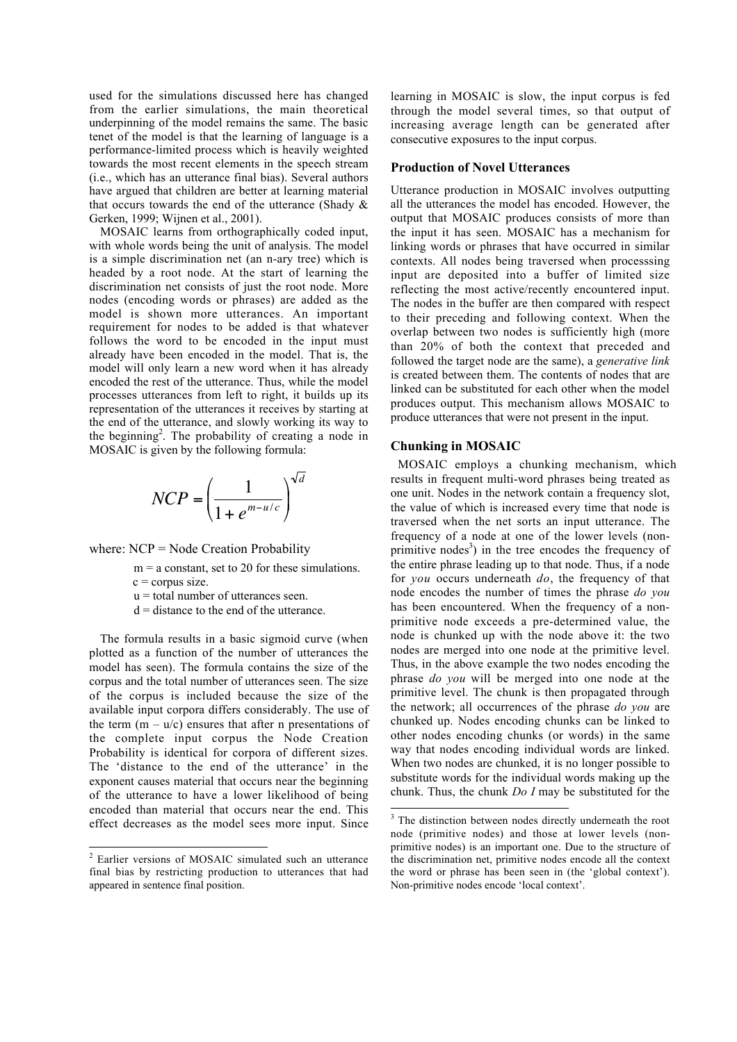used for the simulations discussed here has changed from the earlier simulations, the main theoretical underpinning of the model remains the same. The basic tenet of the model is that the learning of language is a performance-limited process which is heavily weighted towards the most recent elements in the speech stream (i.e., which has an utterance final bias). Several authors have argued that children are better at learning material that occurs towards the end of the utterance (Shady & Gerken, 1999; Wijnen et al., 2001).

MOSAIC learns from orthographically coded input, with whole words being the unit of analysis. The model is a simple discrimination net (an n-ary tree) which is headed by a root node. At the start of learning the discrimination net consists of just the root node. More nodes (encoding words or phrases) are added as the model is shown more utterances. An important requirement for nodes to be added is that whatever follows the word to be encoded in the input must already have been encoded in the model. That is, the model will only learn a new word when it has already encoded the rest of the utterance. Thus, while the model processes utterances from left to right, it builds up its representation of the utterances it receives by starting at the end of the utterance, and slowly working its way to the beginning<sup>2</sup>. The probability of creating a node in MOSAIC is given by the following formula:

$$
NCP = \left(\frac{1}{1 + e^{m - u/c}}\right)^{\sqrt{d}}
$$

where: NCP = Node Creation Probability

 $m = a$  constant, set to 20 for these simulations.

 $c =$ corpus size.

- $u =$  total number of utterances seen.
- $d =$  distance to the end of the utterance.

The formula results in a basic sigmoid curve (when plotted as a function of the number of utterances the model has seen). The formula contains the size of the corpus and the total number of utterances seen. The size of the corpus is included because the size of the available input corpora differs considerably. The use of the term  $(m - u/c)$  ensures that after n presentations of the complete input corpus the Node Creation Probability is identical for corpora of different sizes. The 'distance to the end of the utterance' in the exponent causes material that occurs near the beginning of the utterance to have a lower likelihood of being encoded than material that occurs near the end. This effect decreases as the model sees more input. Since learning in MOSAIC is slow, the input corpus is fed through the model several times, so that output of increasing average length can be generated after consecutive exposures to the input corpus.

# Production of Novel Utterances

Utterance production in MOSAIC involves outputting all the utterances the model has encoded. However, the output that MOSAIC produces consists of more than the input it has seen. MOSAIC has a mechanism for linking words or phrases that have occurred in similar contexts. All nodes being traversed when processsing input are deposited into a buffer of limited size reflecting the most active/recently encountered input. The nodes in the buffer are then compared with respect to their preceding and following context. When the overlap between two nodes is sufficiently high (more than 20% of both the context that preceded and followed the target node are the same), a *generative link* is created between them. The contents of nodes that are linked can be substituted for each other when the model produces output. This mechanism allows MOSAIC to produce utterances that were not present in the input.

#### Chunking in MOSAIC

MOSAIC employs a chunking mechanism, which results in frequent multi-word phrases being treated as one unit. Nodes in the network contain a frequency slot, the value of which is increased every time that node is traversed when the net sorts an input utterance. The frequency of a node at one of the lower levels (nonprimitive nodes<sup>3</sup>) in the tree encodes the frequency of the entire phrase leading up to that node. Thus, if a node for *you* occurs underneath *do*, the frequency of that node encodes the number of times the phrase *do you* has been encountered. When the frequency of a nonprimitive node exceeds a pre-determined value, the node is chunked up with the node above it: the two nodes are merged into one node at the primitive level. Thus, in the above example the two nodes encoding the phrase *do you* will be merged into one node at the primitive level. The chunk is then propagated through the network; all occurrences of the phrase *do you* are chunked up. Nodes encoding chunks can be linked to other nodes encoding chunks (or words) in the same way that nodes encoding individual words are linked. When two nodes are chunked, it is no longer possible to substitute words for the individual words making up the chunk. Thus, the chunk *Do I* may be substituted for the

 <sup>2</sup> Earlier versions of MOSAIC simulated such an utterance final bias by restricting production to utterances that had appeared in sentence final position.

<sup>&</sup>lt;sup>3</sup> The distinction between nodes directly underneath the root node (primitive nodes) and those at lower levels (nonprimitive nodes) is an important one. Due to the structure of the discrimination net, primitive nodes encode all the context the word or phrase has been seen in (the 'global context'). Non-primitive nodes encode 'local context'.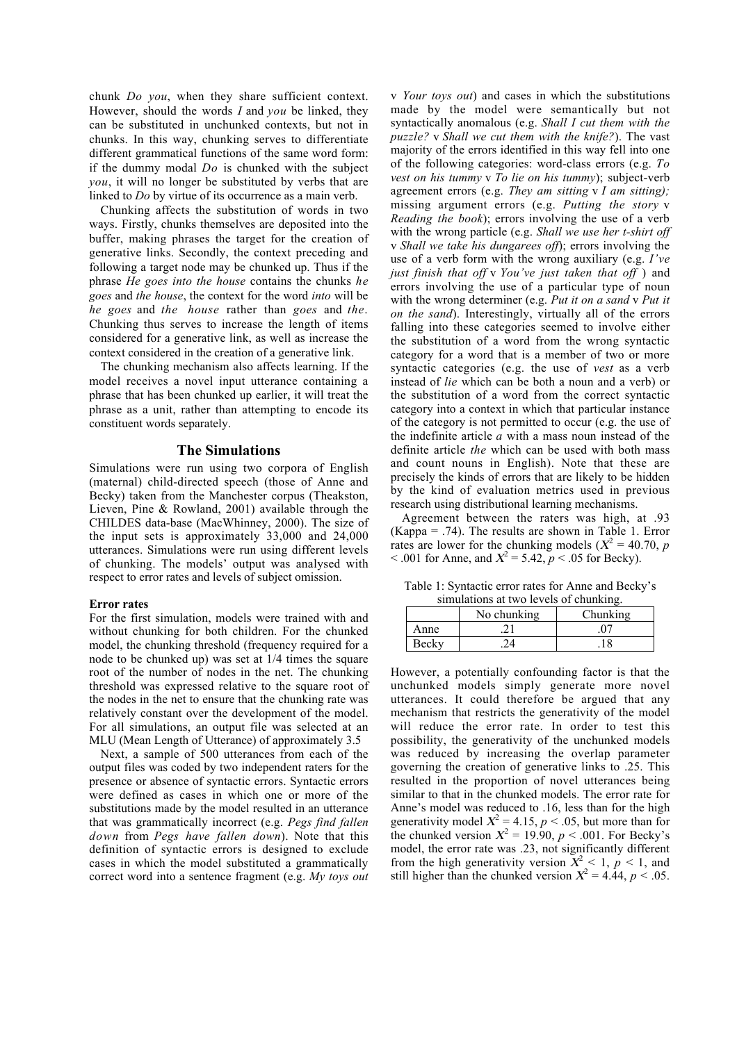chunk *Do you*, when they share sufficient context. However, should the words *I* and *you* be linked, they can be substituted in unchunked contexts, but not in chunks. In this way, chunking serves to differentiate different grammatical functions of the same word form: if the dummy modal *Do* is chunked with the subject *you*, it will no longer be substituted by verbs that are linked to *Do* by virtue of its occurrence as a main verb.

Chunking affects the substitution of words in two ways. Firstly, chunks themselves are deposited into the buffer, making phrases the target for the creation of generative links. Secondly, the context preceding and following a target node may be chunked up. Thus if the phrase *He goes into the house* contains the chunks *he goes* and *the house*, the context for the word *into* will be *he goes* and *the house* rather than *goes* and *the*. Chunking thus serves to increase the length of items considered for a generative link, as well as increase the context considered in the creation of a generative link.

The chunking mechanism also affects learning. If the model receives a novel input utterance containing a phrase that has been chunked up earlier, it will treat the phrase as a unit, rather than attempting to encode its constituent words separately.

### The Simulations

Simulations were run using two corpora of English (maternal) child-directed speech (those of Anne and Becky) taken from the Manchester corpus (Theakston, Lieven, Pine & Rowland, 2001) available through the CHILDES data-base (MacWhinney, 2000). The size of the input sets is approximately 33,000 and 24,000 utterances. Simulations were run using different levels of chunking. The models' output was analysed with respect to error rates and levels of subject omission.

#### Error rates

For the first simulation, models were trained with and without chunking for both children. For the chunked model, the chunking threshold (frequency required for a node to be chunked up) was set at 1/4 times the square root of the number of nodes in the net. The chunking threshold was expressed relative to the square root of the nodes in the net to ensure that the chunking rate was relatively constant over the development of the model. For all simulations, an output file was selected at an MLU (Mean Length of Utterance) of approximately 3.5

Next, a sample of 500 utterances from each of the output files was coded by two independent raters for the presence or absence of syntactic errors. Syntactic errors were defined as cases in which one or more of the substitutions made by the model resulted in an utterance that was grammatically incorrect (e.g. *Pegs find fallen down* from *Pegs have fallen down*). Note that this definition of syntactic errors is designed to exclude cases in which the model substituted a grammatically correct word into a sentence fragment (e.g. *My toys out*

v *Your toys out*) and cases in which the substitutions made by the model were semantically but not syntactically anomalous (e.g. *Shall I cut them with the puzzle?* v *Shall we cut them with the knife?*). The vast majority of the errors identified in this way fell into one of the following categories: word-class errors (e.g. *To vest on his tummy* v *To lie on his tummy*); subject-verb agreement errors (e.g. *They am sitting* v *I am sitting);* missing argument errors (e.g. *Putting the story* v *Reading the book*); errors involving the use of a verb with the wrong particle (e.g. *Shall we use her t-shirt off* v *Shall we take his dungarees off*); errors involving the use of a verb form with the wrong auxiliary (e.g. *I've just finish that off* v *You've just taken that off* ) and errors involving the use of a particular type of noun with the wrong determiner (e.g. *Put it on a sand* v *Put it on the sand*). Interestingly, virtually all of the errors falling into these categories seemed to involve either the substitution of a word from the wrong syntactic category for a word that is a member of two or more syntactic categories (e.g. the use of *vest* as a verb instead of *lie* which can be both a noun and a verb) or the substitution of a word from the correct syntactic category into a context in which that particular instance of the category is not permitted to occur (e.g. the use of the indefinite article *a* with a mass noun instead of the definite article *the* which can be used with both mass and count nouns in English). Note that these are precisely the kinds of errors that are likely to be hidden by the kind of evaluation metrics used in previous research using distributional learning mechanisms.

Agreement between the raters was high, at .93  $(Kappa = .74)$ . The results are shown in Table 1. Error rates are lower for the chunking models ( $X^2 = 40.70$ , *p*  $< .001$  for Anne, and  $X^2 = 5.42$ ,  $p < .05$  for Becky).

Table 1: Syntactic error rates for Anne and Becky's simulations at two levels of chunking.

| $\alpha$ . The distribution of $\alpha$ is the set of $\alpha$ is the distribution of $\alpha$ |             |          |
|------------------------------------------------------------------------------------------------|-------------|----------|
|                                                                                                | No chunking | Chunking |
| Anne                                                                                           |             | 07       |
| Becky                                                                                          |             |          |

However, a potentially confounding factor is that the unchunked models simply generate more novel utterances. It could therefore be argued that any mechanism that restricts the generativity of the model will reduce the error rate. In order to test this possibility, the generativity of the unchunked models was reduced by increasing the overlap parameter governing the creation of generative links to .25. This resulted in the proportion of novel utterances being similar to that in the chunked models. The error rate for Anne's model was reduced to .16, less than for the high generativity model  $X^2 = 4.15$ ,  $p < .05$ , but more than for the chunked version  $X^2 = 19.90$ ,  $p < .001$ . For Becky's model, the error rate was .23, not significantly different from the high generativity version  $X^2 < 1$ ,  $p < 1$ , and still higher than the chunked version  $X^2 = 4.44$ ,  $p < .05$ .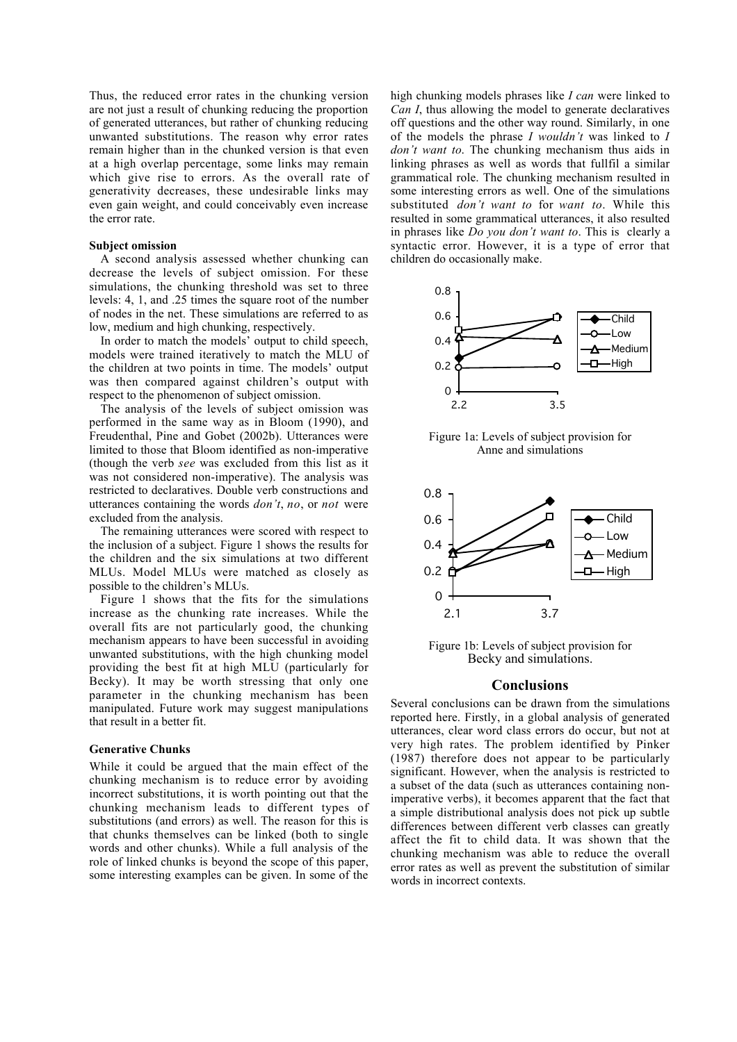Thus, the reduced error rates in the chunking version are not just a result of chunking reducing the proportion of generated utterances, but rather of chunking reducing unwanted substitutions. The reason why error rates remain higher than in the chunked version is that even at a high overlap percentage, some links may remain which give rise to errors. As the overall rate of generativity decreases, these undesirable links may even gain weight, and could conceivably even increase the error rate.

#### Subject omission

A second analysis assessed whether chunking can decrease the levels of subject omission. For these simulations, the chunking threshold was set to three levels: 4, 1, and .25 times the square root of the number of nodes in the net. These simulations are referred to as low, medium and high chunking, respectively.

In order to match the models' output to child speech, models were trained iteratively to match the MLU of the children at two points in time. The models' output was then compared against children's output with respect to the phenomenon of subject omission.

The analysis of the levels of subject omission was performed in the same way as in Bloom (1990), and Freudenthal, Pine and Gobet (2002b). Utterances were limited to those that Bloom identified as non-imperative (though the verb *see* was excluded from this list as it was not considered non-imperative). The analysis was restricted to declaratives. Double verb constructions and utterances containing the words *don't*, *no*, or *not* were excluded from the analysis.

The remaining utterances were scored with respect to the inclusion of a subject. Figure 1 shows the results for the children and the six simulations at two different MLUs. Model MLUs were matched as closely as possible to the children's MLUs.

Figure 1 shows that the fits for the simulations increase as the chunking rate increases. While the overall fits are not particularly good, the chunking mechanism appears to have been successful in avoiding unwanted substitutions, with the high chunking model providing the best fit at high MLU (particularly for Becky). It may be worth stressing that only one parameter in the chunking mechanism has been manipulated. Future work may suggest manipulations that result in a better fit.

#### Generative Chunks

While it could be argued that the main effect of the chunking mechanism is to reduce error by avoiding incorrect substitutions, it is worth pointing out that the chunking mechanism leads to different types of substitutions (and errors) as well. The reason for this is that chunks themselves can be linked (both to single words and other chunks). While a full analysis of the role of linked chunks is beyond the scope of this paper, some interesting examples can be given. In some of the high chunking models phrases like *I can* were linked to *Can I*, thus allowing the model to generate declaratives off questions and the other way round. Similarly, in one of the models the phrase *I wouldn't* was linked to *I don't want to*. The chunking mechanism thus aids in linking phrases as well as words that fullfil a similar grammatical role. The chunking mechanism resulted in some interesting errors as well. One of the simulations substituted *don't want to* for *want to*. While this resulted in some grammatical utterances, it also resulted in phrases like *Do you don't want to*. This is clearly a syntactic error. However, it is a type of error that children do occasionally make.



Figure 1a: Levels of subject provision for Anne and simulations



Figure 1b: Levels of subject provision for Becky and simulations.

# **Conclusions**

Several conclusions can be drawn from the simulations reported here. Firstly, in a global analysis of generated utterances, clear word class errors do occur, but not at very high rates. The problem identified by Pinker (1987) therefore does not appear to be particularly significant. However, when the analysis is restricted to a subset of the data (such as utterances containing nonimperative verbs), it becomes apparent that the fact that a simple distributional analysis does not pick up subtle differences between different verb classes can greatly affect the fit to child data. It was shown that the chunking mechanism was able to reduce the overall error rates as well as prevent the substitution of similar words in incorrect contexts.